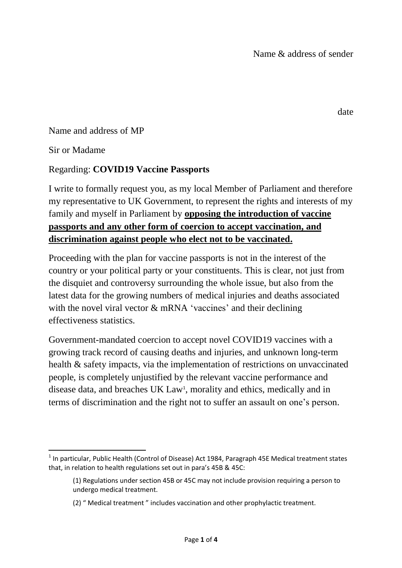Name and address of MP

Sir or Madame

## Regarding: **COVID19 Vaccine Passports**

I write to formally request you, as my local Member of Parliament and therefore my representative to UK Government, to represent the rights and interests of my family and myself in Parliament by **opposing the introduction of vaccine passports and any other form of coercion to accept vaccination, and discrimination against people who elect not to be vaccinated.**

Proceeding with the plan for vaccine passports is not in the interest of the country or your political party or your constituents. This is clear, not just from the disquiet and controversy surrounding the whole issue, but also from the latest data for the growing numbers of medical injuries and deaths associated with the novel viral vector & mRNA 'vaccines' and their declining effectiveness statistics.

Government-mandated coercion to accept novel COVID19 vaccines with a growing track record of causing deaths and injuries, and unknown long-term health & safety impacts, via the implementation of restrictions on unvaccinated people, is completely unjustified by the relevant vaccine performance and disease data, and breaches UK Law<sup>1</sup>, morality and ethics, medically and in terms of discrimination and the right not to suffer an assault on one's person.

date

 1 In particular, Public Health (Control of Disease) Act 1984, Paragraph 45E Medical treatment states that, in relation to health regulations set out in para's 45B & 45C:

<sup>(1)</sup> Regulations under section 45B or 45C may not include provision requiring a person to undergo medical treatment.

<sup>(2) &</sup>quot; Medical treatment " includes vaccination and other prophylactic treatment.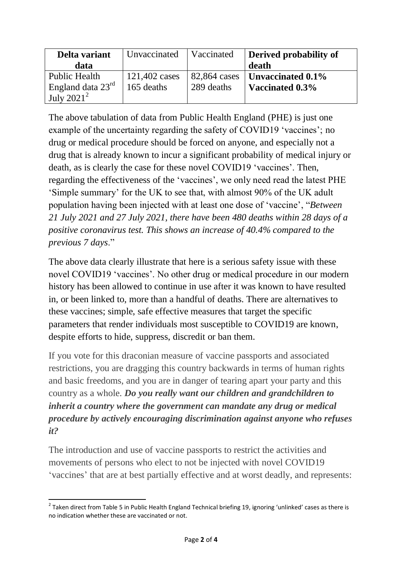| Delta variant                 | Unvaccinated   Vaccinated |            | Derived probability of              |
|-------------------------------|---------------------------|------------|-------------------------------------|
| data                          |                           |            | death                               |
| Public Health                 | 121,402 cases             |            | 82,864 cases   Unvaccinated $0.1\%$ |
| England data $23^{\text{rd}}$ | 165 deaths                | 289 deaths | Vaccinated 0.3%                     |
| July $2021^2$                 |                           |            |                                     |

The above tabulation of data from Public Health England (PHE) is just one example of the uncertainty regarding the safety of COVID19 'vaccines'; no drug or medical procedure should be forced on anyone, and especially not a drug that is already known to incur a significant probability of medical injury or death, as is clearly the case for these novel COVID19 'vaccines'. Then, regarding the effectiveness of the 'vaccines', we only need read the latest PHE 'Simple summary' for the UK to see that, with almost 90% of the UK adult population having been injected with at least one dose of 'vaccine', "*Between 21 July 2021 and 27 July 2021, there have been 480 deaths within 28 days of a positive coronavirus test. This shows an increase of 40.4% compared to the previous 7 days*."

The above data clearly illustrate that here is a serious safety issue with these novel COVID19 'vaccines'. No other drug or medical procedure in our modern history has been allowed to continue in use after it was known to have resulted in, or been linked to, more than a handful of deaths. There are alternatives to these vaccines; simple, safe effective measures that target the specific parameters that render individuals most susceptible to COVID19 are known, despite efforts to hide, suppress, discredit or ban them.

If you vote for this draconian measure of vaccine passports and associated restrictions, you are dragging this country backwards in terms of human rights and basic freedoms, and you are in danger of tearing apart your party and this country as a whole. *Do you really want our children and grandchildren to inherit a country where the government can mandate any drug or medical procedure by actively encouraging discrimination against anyone who refuses it?*

The introduction and use of vaccine passports to restrict the activities and movements of persons who elect to not be injected with novel COVID19 'vaccines' that are at best partially effective and at worst deadly, and represents:

<sup>1</sup>  $^2$  Taken direct from Table 5 in Public Health England Technical briefing 19, ignoring 'unlinked' cases as there is no indication whether these are vaccinated or not.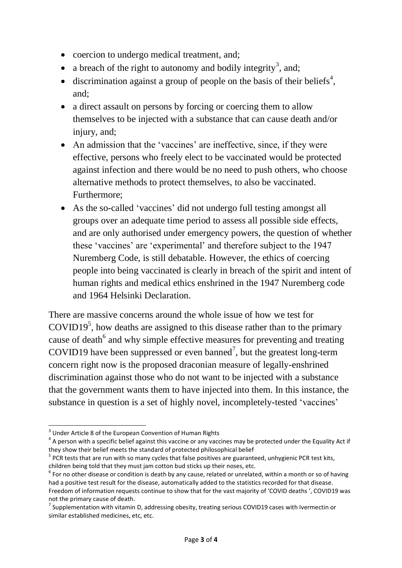- coercion to undergo medical treatment, and;
- a breach of the right to autonomy and bodily integrity<sup>3</sup>, and;
- $\bullet$  discrimination against a group of people on the basis of their beliefs<sup>4</sup>, and;
- a direct assault on persons by forcing or coercing them to allow themselves to be injected with a substance that can cause death and/or injury, and;
- An admission that the 'vaccines' are ineffective, since, if they were effective, persons who freely elect to be vaccinated would be protected against infection and there would be no need to push others, who choose alternative methods to protect themselves, to also be vaccinated. Furthermore;
- As the so-called 'vaccines' did not undergo full testing amongst all groups over an adequate time period to assess all possible side effects, and are only authorised under emergency powers, the question of whether these 'vaccines' are 'experimental' and therefore subject to the 1947 Nuremberg Code, is still debatable. However, the ethics of coercing people into being vaccinated is clearly in breach of the spirit and intent of human rights and medical ethics enshrined in the 1947 Nuremberg code and 1964 Helsinki Declaration.

There are massive concerns around the whole issue of how we test for  $\text{COVID19}^5$ , how deaths are assigned to this disease rather than to the primary cause of death<sup>6</sup> and why simple effective measures for preventing and treating COVID19 have been suppressed or even banned<sup>7</sup>, but the greatest long-term concern right now is the proposed draconian measure of legally-enshrined discrimination against those who do not want to be injected with a substance that the government wants them to have injected into them. In this instance, the substance in question is a set of highly novel, incompletely-tested 'vaccines'

 3 Under Article 8 of the European Convention of Human Rights

 $^4$  A person with a specific belief against this vaccine or any vaccines may be protected under the Equality Act if they show their belief meets the standard of protected philosophical belief

<sup>&</sup>lt;sup>5</sup> PCR tests that are run with so many cycles that false positives are guaranteed, unhygienic PCR test kits, children being told that they must jam cotton bud sticks up their noses, etc.

 $^6$  For no other disease or condition is death by any cause, related or unrelated, within a month or so of having had a positive test result for the disease, automatically added to the statistics recorded for that disease. Freedom of information requests continue to show that for the vast majority of 'COVID deaths ', COVID19 was not the primary cause of death.

 $^7$  Supplementation with vitamin D, addressing obesity, treating serious COVID19 cases with Ivermectin or similar established medicines, etc, etc.